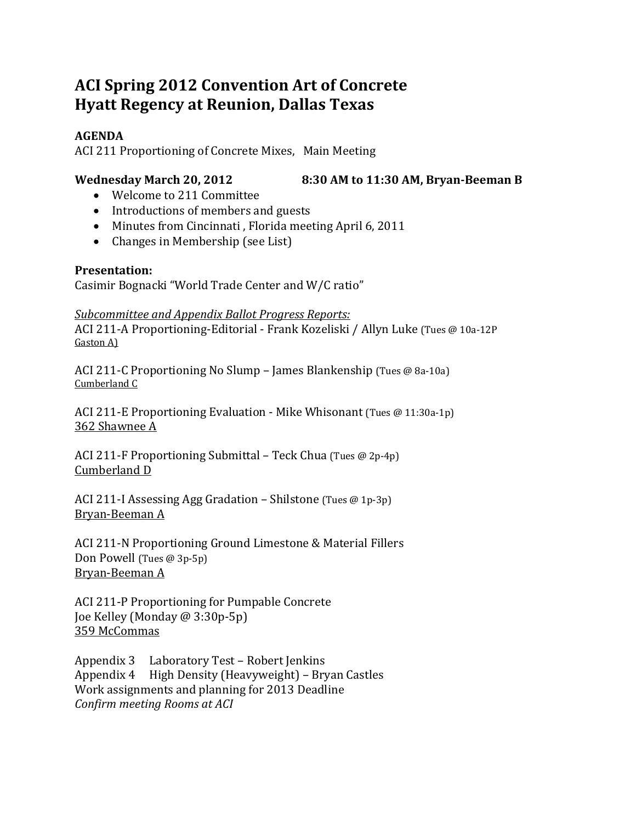# **ACI Spring 2012 Convention Art of Concrete Hyatt Regency at Reunion, Dallas Texas**

#### **AGENDA**

ACI 211 Proportioning of Concrete Mixes, Main Meeting

### **Wednesday March 20, 2012 8:30 AM to 11:30 AM, Bryan‐Beeman B**

- Welcome to 211 Committee
- Introductions of members and guests
- Minutes from Cincinnati, Florida meeting April 6, 2011
- $\bullet$  Changes in Membership (see List)

## **Presentation:**

Casimir Bognacki "World Trade Center and W/C ratio"

#### *Subcommittee and Appendix Ballot Progress Reports:*

ACI 211-A Proportioning-Editorial - Frank Kozeliski / Allyn Luke (Tues @ 10a-12P) Gaston A)

ACI 211-C Proportioning No Slump – James Blankenship (Tues @ 8a-10a) Cumberland C

ACI 211-E Proportioning Evaluation - Mike Whisonant (Tues @ 11:30a-1p) 362 Shawnee A

ACI 211-F Proportioning Submittal – Teck Chua (Tues  $@$  2p-4p) Cumberland D

ACI 211-I Assessing Agg Gradation – Shilstone (Tues  $@1p-3p$ ) Bryan-Beeman A

ACI 211-N Proportioning Ground Limestone & Material Fillers Don Powell (Tues  $@3p-5p$ ) Bryan‐Beeman A 

ACI 211-P Proportioning for Pumpable Concrete Joe Kelley (Monday @ 3:30p-5p) 359 McCommas 

Appendix 3 Laboratory Test – Robert Jenkins Appendix 4 High Density (Heavyweight) – Bryan Castles Work assignments and planning for 2013 Deadline *Confirm meeting Rooms at ACI*